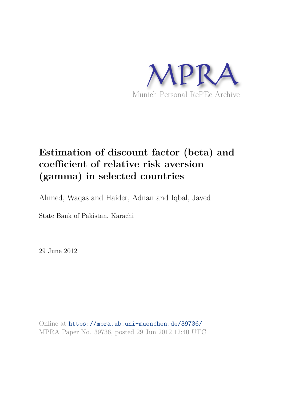

# **Estimation of discount factor (beta) and coefficient of relative risk aversion (gamma) in selected countries**

Ahmed, Waqas and Haider, Adnan and Iqbal, Javed

State Bank of Pakistan, Karachi

29 June 2012

Online at https://mpra.ub.uni-muenchen.de/39736/ MPRA Paper No. 39736, posted 29 Jun 2012 12:40 UTC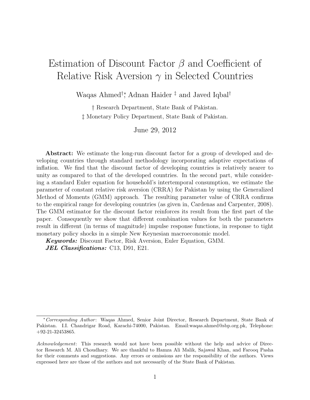# Estimation of Discount Factor  $\beta$  and Coefficient of Relative Risk Aversion  $\gamma$  in Selected Countries

Waqas Ahmed†∗, Adnan Haider ‡ and Javed Iqbal†

† Research Department, State Bank of Pakistan. ‡ Monetary Policy Department, State Bank of Pakistan.

June 29, 2012

Abstract: We estimate the long-run discount factor for a group of developed and developing countries through standard methodology incorporating adaptive expectations of inflation. We find that the discount factor of developing countries is relatively nearer to unity as compared to that of the developed countries. In the second part, while considering a standard Euler equation for household's intertemporal consumption, we estimate the parameter of constant relative risk aversion (CRRA) for Pakistan by using the Generalized Method of Moments (GMM) approach. The resulting parameter value of CRRA confirms to the empirical range for developing countries (as given in, Cardenas and Carpenter, 2008). The GMM estimator for the discount factor reinforces its result from the first part of the paper. Consequently we show that different combination values for both the parameters result in different (in terms of magnitude) impulse response functions, in response to tight monetary policy shocks in a simple New Keynesian macroeconomic model.

Keywords: Discount Factor, Risk Aversion, Euler Equation, GMM. **JEL Classifications:** C13, D91, E21.

<sup>∗</sup>Corresponding Author : Waqas Ahmed, Senior Joint Director, Research Department, State Bank of Pakistan. I.I. Chandrigar Road, Karachi-74000, Pakistan. Email:waqas.ahmed@sbp.org.pk, Telephone: +92-21-32453865.

Acknowledgement: This research would not have been possible without the help and advice of Director Research M. Ali Choudhary. We are thankful to Hamza Ali Malik, Sajawal Khan, and Farooq Pasha for their comments and suggestions. Any errors or omissions are the responsibility of the authors. Views expressed here are those of the authors and not necessarily of the State Bank of Pakistan.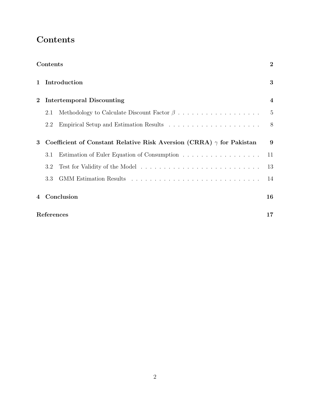## **Contents**

|              | Contents         |                                                                             | $\boldsymbol{2}$        |  |  |  |
|--------------|------------------|-----------------------------------------------------------------------------|-------------------------|--|--|--|
| $\mathbf{1}$ | Introduction     |                                                                             |                         |  |  |  |
| $\bf{2}$     |                  | Intertemporal Discounting                                                   | $\overline{\mathbf{4}}$ |  |  |  |
|              | 2.1              |                                                                             | $\overline{5}$          |  |  |  |
|              | 2.2              |                                                                             | 8                       |  |  |  |
| 3            |                  | Coefficient of Constant Relative Risk Aversion (CRRA) $\gamma$ for Pakistan | 9                       |  |  |  |
|              | 3.1              | Estimation of Euler Equation of Consumption                                 | 11                      |  |  |  |
|              | 3.2              |                                                                             | 13                      |  |  |  |
|              | 3.3              |                                                                             | 14                      |  |  |  |
| 4            |                  | Conclusion                                                                  | 16                      |  |  |  |
|              | References<br>17 |                                                                             |                         |  |  |  |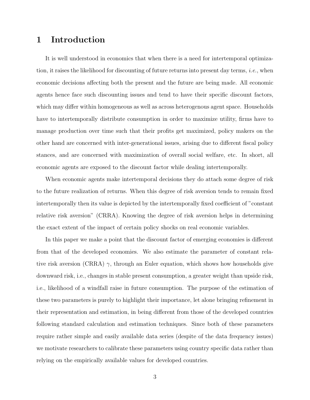### 1 Introduction

It is well understood in economics that when there is a need for intertemporal optimization, it raises the likelihood for discounting of future returns into present day terms, *i.e.*, when economic decisions affecting both the present and the future are being made. All economic agents hence face such discounting issues and tend to have their specific discount factors, which may differ within homogeneous as well as across heterogenous agent space. Households have to intertemporally distribute consumption in order to maximize utility, firms have to manage production over time such that their profits get maximized, policy makers on the other hand are concerned with inter-generational issues, arising due to different fiscal policy stances, and are concerned with maximization of overall social welfare, etc. In short, all economic agents are exposed to the discount factor while dealing intertemporally.

When economic agents make intertemporal decisions they do attach some degree of risk to the future realization of returns. When this degree of risk aversion tends to remain fixed intertemporally then its value is depicted by the intertemporally fixed coefficient of "constant relative risk aversion" (CRRA). Knowing the degree of risk aversion helps in determining the exact extent of the impact of certain policy shocks on real economic variables.

In this paper we make a point that the discount factor of emerging economies is different from that of the developed economies. We also estimate the parameter of constant relative risk aversion (CRRA)  $\gamma$ , through an Euler equation, which shows how households give downward risk, i.e., changes in stable present consumption, a greater weight than upside risk, i.e., likelihood of a windfall raise in future consumption. The purpose of the estimation of these two parameters is purely to highlight their importance, let alone bringing refinement in their representation and estimation, in being different from those of the developed countries following standard calculation and estimation techniques. Since both of these parameters require rather simple and easily available data series (despite of the data frequency issues) we motivate researchers to calibrate these parameters using country specific data rather than relying on the empirically available values for developed countries.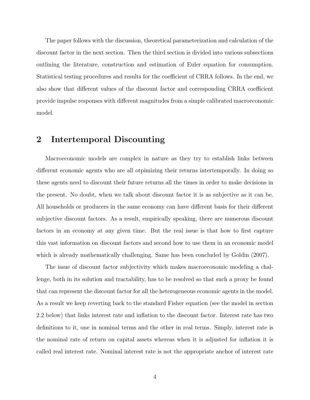The paper follows with the discussion, theoretical parameterization and calculation of the discount factor in the next section. Then the third section is divided into various subsections outlining the literature, construction and estimation of Euler equation for consumption. Statistical testing procedures and results for the coefficient of CRRA follows. In the end, we also show that different values of the discount factor and corresponding CRRA coefficient provide impulse responses with different magnitudes from a simple calibrated macroeconomic model.

### 2 Intertemporal Discounting

Macroeconomic models are complex in nature as they try to establish links between different economic agents who are all otpimizing their returns intertemporally. In doing so these agents need to discount their future returns all the times in order to make decisions in the present. No doubt, when we talk about discount factor it is as subjective as it can be. All households or producers in the same economy can have different basis for their different subjective discount factors. As a result, empirically speaking, there are numerous discount factors in an economy at any given time. But the real issue is that how to first capture this vast information on discount factors and second how to use them in an economic model which is already mathematically challenging. Same has been concluded by Goldin (2007).

The issue of discount factor subjectivity which makes macroeconomic modeling a challenge, both in its solution and tractability, has to be resolved so that such a proxy be found that can represent the discount factor for all the heterogeneous economic agents in the model. As a result we keep reverting back to the standard Fisher equation (see the model in section 2.2 below) that links interest rate and inflation to the discount factor. Interest rate has two definitions to it, one in nominal terms and the other in real terms. Simply, interest rate is the nominal rate of return on capital assets whereas when it is adjusted for inflation it is called real interest rate. Nominal interest rate is not the appropriate anchor of interest rate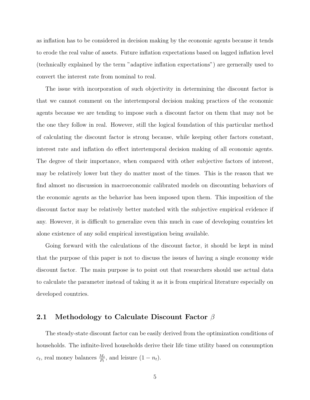as inflation has to be considered in decision making by the economic agents because it tends to erode the real value of assets. Future inflation expectations based on lagged inflation level (technically explained by the term "adaptive inflation expectations") are gernerally used to convert the interest rate from nominal to real.

The issue with incorporation of such objectivity in determining the discount factor is that we cannot comment on the intertemporal decision making practices of the economic agents because we are tending to impose such a discount factor on them that may not be the one they follow in real. However, still the logical foundation of this particular method of calculating the discount factor is strong because, while keeping other factors constant, interest rate and inflation do effect intertemporal decision making of all economic agents. The degree of their importance, when compared with other subjective factors of interest, may be relatively lower but they do matter most of the times. This is the reason that we find almost no discussion in macroeconomic calibrated models on discounting behaviors of the economic agents as the behavior has been imposed upon them. This imposition of the discount factor may be relatively better matched with the subjective empirical evidence if any. However, it is difficult to generalize even this much in case of developing countries let alone existence of any solid empirical investigation being available.

Going forward with the calculations of the discount factor, it should be kept in mind that the purpose of this paper is not to discuss the issues of having a single economy wide discount factor. The main purpose is to point out that researchers should use actual data to calculate the parameter instead of taking it as it is from empirical literature especially on developed countries.

#### 2.1 Methodology to Calculate Discount Factor  $\beta$

The steady-state discount factor can be easily derived from the optimization conditions of households. The infinite-lived households derive their life time utility based on consumption  $c_t$ , real money balances  $\frac{M_t}{P_t}$ , and leisure  $(1 - n_t)$ .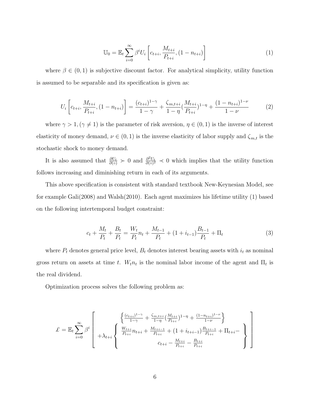$$
\mathbb{U}_0 = \mathbb{E}_t \sum_{i=0}^{\infty} \beta^i U_i \left[ c_{t+i}, \frac{M_{t+i}}{P_{t+i}}, (1 - n_{t+i}) \right]
$$
 (1)

where  $\beta \in (0,1)$  is subjective discount factor. For analytical simplicity, utility function is assumed to be separable and its specification is given as:

$$
U_i\left[c_{t+i}, \frac{M_{t+i}}{P_{t+i}}, (1 - n_{t+i})\right] = \frac{(c_{t+i})^{1-\gamma}}{1-\gamma} + \frac{\zeta_{m,t+i}}{1-\eta} \left(\frac{M_{t+i}}{P_{t+i}}\right)^{1-\eta} + \frac{(1 - n_{t+i})^{1-\nu}}{1-\nu}
$$
(2)

where  $\gamma > 1, (\gamma \neq 1)$  is the parameter of risk aversion,  $\eta \in (0,1)$  is the inverse of interest elasticity of money demand,  $\nu \in (0, 1)$  is the inverse elasticity of labor supply and  $\zeta_{m,t}$  is the stochastic shock to money demand.

It is also assumed that  $\frac{\partial U_t}{\partial (0)} \succ 0$  and  $\frac{\partial^2 U_t}{\partial (0)^2}$  $\frac{\partial^2 U_t}{\partial (o)^2} \prec 0$  which implies that the utility function follows increasing and diminishing return in each of its arguments.

This above specification is consistent with standard textbook New-Keynesian Model, see for example Gali(2008) and Walsh(2010). Each agent maximizes his lifetime utility (1) based on the following intertemporal budget constraint:

$$
c_t + \frac{M_t}{P_t} + \frac{B_t}{P_t} = \frac{W_t}{P_t} n_t + \frac{M_{t-1}}{P_t} + (1 + i_{t-1})\frac{B_{t-1}}{P_t} + \Pi_t
$$
\n<sup>(3)</sup>

where  $P_t$  denotes general price level,  $B_t$  denotes interest bearing assets with  $i_t$  as nominal gross return on assets at time t.  $W_t n_t$  is the nominal labor income of the agent and  $\Pi_t$  is the real dividend.

Optimization process solves the following problem as:

$$
\mathcal{L} = \mathbb{E}_t \sum_{i=0}^{\infty} \beta^i \left[ + \lambda_{t+i} \left\{ \begin{array}{l} \frac{(c_{t+i})^{1-\gamma}}{1-\gamma} + \frac{\zeta_{m,t+i}}{1-\eta} (\frac{M_{t+i}}{P_{t+i}})^{1-\eta} + \frac{(1-n_{t+i})^{1-\nu}}{1-\nu} \\ + \lambda_{t+i} \left\{ \begin{array}{l} \frac{W_{t+i}}{P_{t+i}} n_{t+i} + \frac{M_{t+i-1}}{P_{t+i}} + (1+i_{t+i-1}) \frac{B_{t+i-1}}{P_{t+i}} + \Pi_{t+i-1} \\ c_{t+i} - \frac{M_{t+i}}{P_{t+i}} - \frac{B_{t+i}}{P_{t+i}} \end{array} \right\} \right]
$$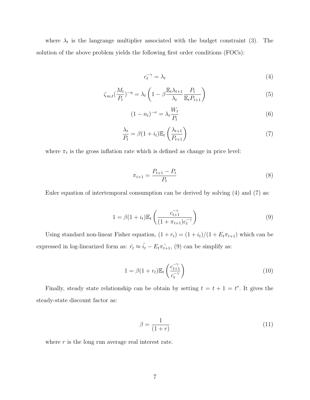where  $\lambda_t$  is the langrange multiplier associated with the budget constraint (3). The solution of the above problem yields the following first order conditions (FOCs):

$$
c_t^{-\gamma} = \lambda_t \tag{4}
$$

$$
\zeta_{m,t} \left( \frac{M_t}{P_t} \right)^{-\eta} = \lambda_t \left( 1 - \beta \frac{\mathbb{E}_t \lambda_{t+1}}{\lambda_t} \frac{P_t}{\mathbb{E}_t P_{t+1}} \right) \tag{5}
$$

$$
(1 - n_t)^{-\nu} = \lambda_t \frac{W_t}{P_t} \tag{6}
$$

$$
\frac{\lambda_t}{P_t} = \beta (1 + i_t) \mathbb{E}_t \left( \frac{\lambda_{t+1}}{P_{t+1}} \right)
$$
\n<sup>(7)</sup>

where  $\pi_t$  is the gross inflation rate which is defined as change in price level:

$$
\pi_{t+1} = \frac{P_{t+1} - P_t}{P_t} \tag{8}
$$

Euler equation of intertemporal consumption can be derived by solving (4) and (7) as:

$$
1 = \beta (1 + i_t) \mathbb{E}_t \left( \frac{c_{t+1}^{-\gamma}}{(1 + \pi_{t+1}) c_t^{-\gamma}} \right)
$$
 (9)

Using standard non-linear Fisher equation,  $(1 + r_t) = (1 + i_t)/(1 + E_t \pi_{t+1})$  which can be expressed in log-linearized form as:  $\hat{r}_t \approx \hat{i}_t - E_t \hat{\pi}_{t+1}$ , (9) can be simplify as:

$$
1 = \beta(1 + r_t)\mathbb{E}_t\left(\frac{c_{t+1}^{-\gamma}}{c_t^{-\gamma}}\right)
$$
\n(10)

Finally, steady state relationship can be obtain by setting  $t = t + 1 = t^*$ . It gives the steady-state discount factor as:

$$
\beta = \frac{1}{(1+r)}\tag{11}
$$

where  $r$  is the long run average real interest rate.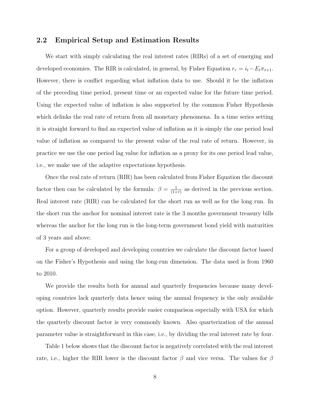### 2.2 Empirical Setup and Estimation Results

We start with simply calculating the real interest rates (RIRs) of a set of emerging and developed economies. The RIR is calculated, in general, by Fisher Equation  $r_r = i_t - E_t \pi_{t+1}$ . However, there is conflict regarding what inflation data to use. Should it be the inflation of the preceding time period, present time or an expected value for the future time period. Using the expected value of inflation is also supported by the common Fisher Hypothesis which delinks the real rate of return from all monetary phenomena. In a time series setting it is straight forward to find an expected value of inflation as it is simply the one period lead value of inflation as compared to the present value of the real rate of return. However, in practice we use the one period lag value for inflation as a proxy for its one period lead value, i.e., we make use of the adaptive expectations hypothesis.

Once the real rate of return (RIR) has been calculated from Fisher Equation the discount factor then can be calculated by the formula:  $\beta = \frac{1}{(1+1)^2}$  $\frac{1}{(1+r)}$  as derived in the previous section. Real interest rate (RIR) can be calculated for the short run as well as for the long run. In the short run the anchor for nominal interest rate is the 3 months government treasury bills whereas the anchor for the long run is the long-term government bond yield with maturities of 3 years and above.

For a group of developed and developing countries we calculate the discount factor based on the Fisher's Hypothesis and using the long-run dimension. The data used is from 1960 to 2010.

We provide the results both for annual and quarterly frequencies because many developing countries lack quarterly data hence using the annual frequency is the only available option. However, quarterly results provide easier comparison especially with USA for which the quarterly discount factor is very commonly known. Also quarterization of the annual parameter value is straightforward in this case, i.e., by dividing the real interest rate by four.

Table 1 below shows that the discount factor is negatively correlated with the real interest rate, i.e., higher the RIR lower is the discount factor  $\beta$  and vice versa. The values for  $\beta$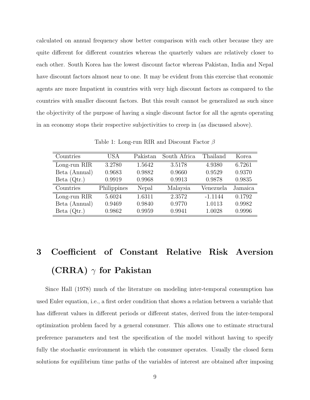calculated on annual frequency show better comparison with each other because they are quite different for different countries whereas the quarterly values are relatively closer to each other. South Korea has the lowest discount factor whereas Pakistan, India and Nepal have discount factors almost near to one. It may be evident from this exercise that economic agents are more Impatient in countries with very high discount factors as compared to the countries with smaller discount factors. But this result cannot be generalized as such since the objectivity of the purpose of having a single discount factor for all the agents operating in an economy stops their respective subjectivities to creep in (as discussed above).

| Countries     | USA         | Pakistan | South Africa | Thailand  | Korea   |
|---------------|-------------|----------|--------------|-----------|---------|
| Long-run RIR  | 3.2780      | 1.5642   | 3.5178       | 4.9380    | 6.7261  |
| Beta (Annual) | 0.9683      | 0.9882   | 0.9660       | 0.9529    | 0.9370  |
| Beta $(Qtr.)$ | 0.9919      | 0.9968   | 0.9913       | 0.9878    | 0.9835  |
| Countries     | Philippines | Nepal    | Malaysia     | Venezuela | Jamaica |
| Long-run RIR  | 5.6024      | 1.6311   | 2.3572       | $-1.1144$ | 0.1792  |
| Beta (Annual) | 0.9469      | 0.9840   | 0.9770       | 1.0113    | 0.9982  |
| Beta $(Qtr.)$ | 0.9862      | 0.9959   | 0.9941       | 1.0028    | 0.9996  |

Table 1: Long-run RIR and Discount Factor β

# 3 Coefficient of Constant Relative Risk Aversion (CRRA)  $\gamma$  for Pakistan

Since Hall (1978) much of the literature on modeling inter-temporal consumption has used Euler equation, i.e., a first order condition that shows a relation between a variable that has different values in different periods or different states, derived from the inter-temporal optimization problem faced by a general consumer. This allows one to estimate structural preference parameters and test the specification of the model without having to specify fully the stochastic environment in which the consumer operates. Usually the closed form solutions for equilibrium time paths of the variables of interest are obtained after imposing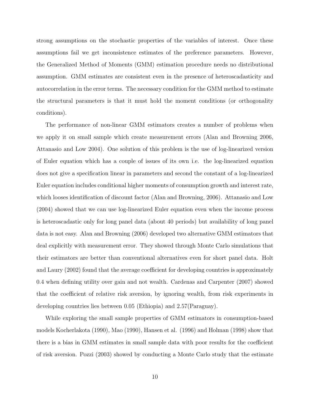strong assumptions on the stochastic properties of the variables of interest. Once these assumptions fail we get inconsistence estimates of the preference parameters. However, the Generalized Method of Moments (GMM) estimation procedure needs no distributional assumption. GMM estimates are consistent even in the presence of heteroscadasticity and autocorrelation in the error terms. The necessary condition for the GMM method to estimate the structural parameters is that it must hold the moment conditions (or orthogonality conditions).

The performance of non-linear GMM estimators creates a number of problems when we apply it on small sample which create measurement errors (Alan and Browning 2006, Attanasio and Low 2004). One solution of this problem is the use of log-linearized version of Euler equation which has a couple of issues of its own i.e. the log-linearized equation does not give a specification linear in parameters and second the constant of a log-linearized Euler equation includes conditional higher moments of consumption growth and interest rate, which looses identification of discount factor (Alan and Browning, 2006). Attanasio and Low (2004) showed that we can use log-linearized Euler equation even when the income process is heteroscadastic only for long panel data (about 40 periods) but availability of long panel data is not easy. Alan and Browning (2006) developed two alternative GMM estimators that deal explicitly with measurement error. They showed through Monte Carlo simulations that their estimators are better than conventional alternatives even for short panel data. Holt and Laury (2002) found that the average coefficient for developing countries is approximately 0.4 when defining utility over gain and not wealth. Cardenas and Carpenter (2007) showed that the coefficient of relative risk aversion, by ignoring wealth, from risk experiments in developing countries lies between 0.05 (Ethiopia) and 2.57(Paraguay).

While exploring the small sample properties of GMM estimators in consumption-based models Kocherlakota (1990), Mao (1990), Hansen et al. (1996) and Holman (1998) show that there is a bias in GMM estimates in small sample data with poor results for the coefficient of risk aversion. Pozzi (2003) showed by conducting a Monte Carlo study that the estimate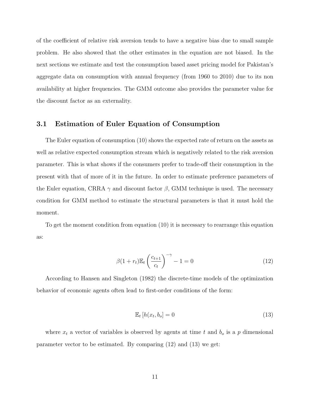of the coefficient of relative risk aversion tends to have a negative bias due to small sample problem. He also showed that the other estimates in the equation are not biased. In the next sections we estimate and test the consumption based asset pricing model for Pakistan's aggregate data on consumption with annual frequency (from 1960 to 2010) due to its non availability at higher frequencies. The GMM outcome also provides the parameter value for the discount factor as an externality.

#### 3.1 Estimation of Euler Equation of Consumption

The Euler equation of consumption (10) shows the expected rate of return on the assets as well as relative expected consumption stream which is negatively related to the risk aversion parameter. This is what shows if the consumers prefer to trade-off their consumption in the present with that of more of it in the future. In order to estimate preference parameters of the Euler equation, CRRA  $\gamma$  and discount factor  $\beta$ , GMM technique is used. The necessary condition for GMM method to estimate the structural parameters is that it must hold the moment.

To get the moment condition from equation (10) it is necessary to rearrange this equation as:

$$
\beta(1+r_t)\mathbb{E}_t\left(\frac{c_{t+1}}{c_t}\right)^{-\gamma} - 1 = 0\tag{12}
$$

According to Hansen and Singleton (1982) the discrete-time models of the optimization behavior of economic agents often lead to first-order conditions of the form:

$$
\mathbb{E}_t \left[ h(x_t, b_o) = 0 \right] \tag{13}
$$

where  $x_t$  a vector of variables is observed by agents at time t and  $b_o$  is a p dimensional parameter vector to be estimated. By comparing (12) and (13) we get: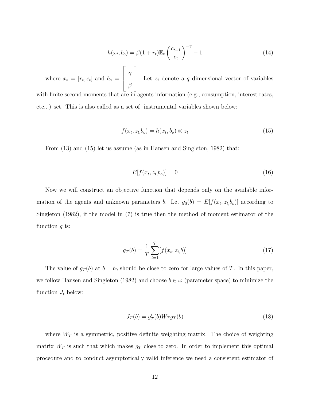$$
h(x_t, b_o) = \beta (1 + r_t) \mathbb{E}_t \left(\frac{c_{t+1}}{c_t}\right)^{-\gamma} - 1 \tag{14}
$$

where  $x_t = [r_t, c_t]$  and  $b_o =$  $\sqrt{ }$  $\Big\}$ γ β 1 . Let  $z_t$  denote a q dimensional vector of variables with finite second moments that are in agents information (e.g., consumption, interest rates, etc...) set. This is also called as a set of instrumental variables shown below:

$$
f(x_t, z_t, b_o) = h(x_t, b_o) \otimes z_t \tag{15}
$$

From (13) and (15) let us assume (as in Hansen and Singleton, 1982) that:

$$
E[f(x_t, z_t, b_o)] = 0 \tag{16}
$$

Now we will construct an objective function that depends only on the available information of the agents and unknown parameters b. Let  $g_0(b) = E[f(x_t, z_t, b_o)]$  according to Singleton (1982), if the model in (7) is true then the method of moment estimator of the function  $q$  is:

$$
g_T(b) = \frac{1}{T} \sum_{t=1}^{T} [f(x_t, z_t, b)] \tag{17}
$$

The value of  $g_T(b)$  at  $b = b_0$  should be close to zero for large values of T. In this paper, we follow Hansen and Singleton (1982) and choose  $b \in \omega$  (parameter space) to minimize the function  $J_t$  below:

$$
J_T(b) = g'_T(b)W_Tg_T(b)
$$
\n
$$
(18)
$$

where  $W_T$  is a symmetric, positive definite weighting matrix. The choice of weighting matrix  $W_T$  is such that which makes  $g_T$  close to zero. In order to implement this optimal procedure and to conduct asymptotically valid inference we need a consistent estimator of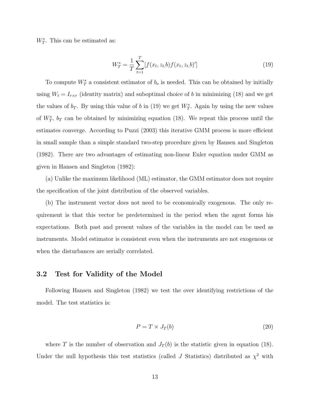$W_T^*$ . This can be estimated as:

$$
W_T^* = \frac{1}{T} \sum_{t=1}^T [f(x_t, z_t, b) f(x_t, z_t, b)'] \tag{19}
$$

To compute  $W_T^*$  a consistent estimator of  $b_o$  is needed. This can be obtained by initially using  $W_t = I_{r \times r}$  (identity matrix) and suboptimal choice of b in minimizing (18) and we get the values of  $b_T$ . By using this value of b in (19) we get  $W_T^*$ . Again by using the new values of  $W^*_T$ ,  $b_T$  can be obtained by minimizing equation (18). We repeat this process until the estimates converge. According to Puzzi (2003) this iterative GMM process is more efficient in small sample than a simple standard two-step procedure given by Hansen and Singleton (1982). There are two advantages of estimating non-linear Euler equation under GMM as given in Hansen and Singleton (1982):

(a) Unlike the maximum likelihood (ML) estimator, the GMM estimator does not require the specification of the joint distribution of the observed variables.

(b) The instrument vector does not need to be economically exogenous. The only requirement is that this vector be predetermined in the period when the agent forms his expectations. Both past and present values of the variables in the model can be used as instruments. Model estimator is consistent even when the instruments are not exogenous or when the disturbances are serially correlated.

### 3.2 Test for Validity of the Model

Following Hansen and Singleton (1982) we test the over identifying restrictions of the model. The test statistics is:

$$
P = T \times J_T(b) \tag{20}
$$

where T is the number of observation and  $J_T(b)$  is the statistic given in equation (18). Under the null hypothesis this test statistics (called J Statistics) distributed as  $\chi^2$  with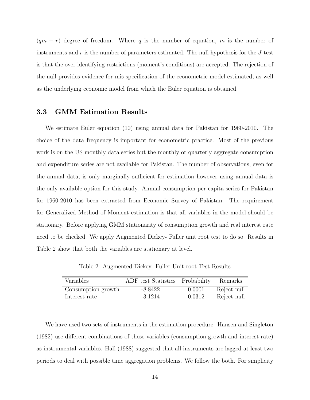$(qm - r)$  degree of freedom. Where q is the number of equation, m is the number of instruments and  $r$  is the number of parameters estimated. The null hypothesis for the  $J$ -test is that the over identifying restrictions (moment's conditions) are accepted. The rejection of the null provides evidence for mis-specification of the econometric model estimated, as well as the underlying economic model from which the Euler equation is obtained.

### 3.3 GMM Estimation Results

We estimate Euler equation (10) using annual data for Pakistan for 1960-2010. The choice of the data frequency is important for econometric practice. Most of the previous work is on the US monthly data series but the monthly or quarterly aggregate consumption and expenditure series are not available for Pakistan. The number of observations, even for the annual data, is only marginally sufficient for estimation however using annual data is the only available option for this study. Annual consumption per capita series for Pakistan for 1960-2010 has been extracted from Economic Survey of Pakistan. The requirement for Generalized Method of Moment estimation is that all variables in the model should be stationary. Before applying GMM stationarity of consumption growth and real interest rate need to be checked. We apply Augmented Dickey- Fuller unit root test to do so. Results in Table 2 show that both the variables are stationary at level.

Table 2: Augmented Dickey- Fuller Unit root Test Results

| Variables          | ADF test Statistics Probability |        | Remarks     |
|--------------------|---------------------------------|--------|-------------|
| Consumption growth | -8.8422                         | 0.0001 | Reject null |
| Interest rate      | $-3.1214$                       | 0.0312 | Reject null |

We have used two sets of instruments in the estimation procedure. Hansen and Singleton (1982) use different combinations of these variables (consumption growth and interest rate) as instrumental variables. Hall (1988) suggested that all instruments are lagged at least two periods to deal with possible time aggregation problems. We follow the both. For simplicity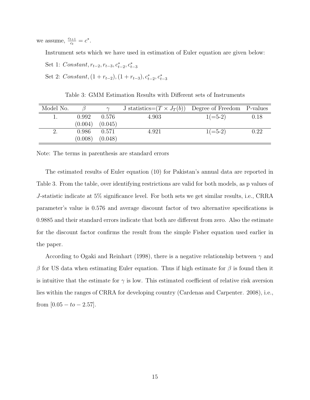we assume,  $\frac{c_{t+1}}{c}$  $\frac{t+1}{c_t} = c^*$ .

Instrument sets which we have used in estimation of Euler equation are given below:

- Set 1:  $Constant, r_{t-2}, r_{t-3}, c_{t-2}^*, c_{t-3}^*$
- Set 2:  $Constant, (1 + r_{t-2}), (1 + r_{t-3}), c_{t-2}^*, c_{t-3}^*$

Table 3: GMM Estimation Results with Different sets of Instruments

| Model No. |         |         | J statistics= $(T \times J_T(b))$ Degree of Freedom P-values |            |          |
|-----------|---------|---------|--------------------------------------------------------------|------------|----------|
|           | 0.992   | 0.576   | 4.903                                                        | $1 (=5-2)$ | 0.18     |
|           | (0.004) | (0.045) |                                                              |            |          |
|           | 0.986   | 0.571   | 4.921                                                        | $1(=5-2)$  | $0.22\,$ |
|           | (0.008) | (0.048) |                                                              |            |          |

Note: The terms in parenthesis are standard errors

The estimated results of Euler equation (10) for Pakistan's annual data are reported in Table 3. From the table, over identifying restrictions are valid for both models, as p values of J-statistic indicate at 5% significance level. For both sets we get similar results, i.e., CRRA parameter's value is 0.576 and average discount factor of two alternative specifications is 0.9885 and their standard errors indicate that both are different from zero. Also the estimate for the discount factor confirms the result from the simple Fisher equation used earlier in the paper.

According to Ogaki and Reinhart (1998), there is a negative relationship between  $\gamma$  and β for US data when estimating Euler equation. Thus if high estimate for β is found then it is intuitive that the estimate for  $\gamma$  is low. This estimated coefficient of relative risk aversion lies within the ranges of CRRA for developing country (Cardenas and Carpenter. 2008), i.e., from  $[0.05 - t_0 - 2.57]$ .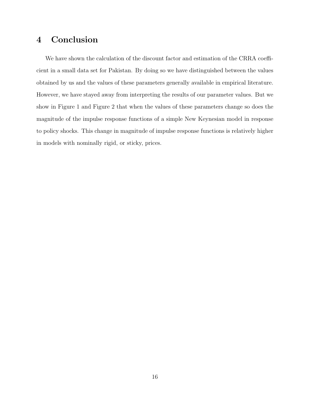## 4 Conclusion

We have shown the calculation of the discount factor and estimation of the CRRA coefficient in a small data set for Pakistan. By doing so we have distinguished between the values obtained by us and the values of these parameters generally available in empirical literature. However, we have stayed away from interpreting the results of our parameter values. But we show in Figure 1 and Figure 2 that when the values of these parameters change so does the magnitude of the impulse response functions of a simple New Keynesian model in response to policy shocks. This change in magnitude of impulse response functions is relatively higher in models with nominally rigid, or sticky, prices.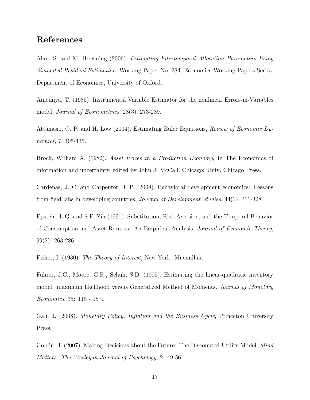## References

Alan, S. and M. Browning (2006). *Estimating Intertemporal Allocation Parameters Using Simulated Residual Estimation*, Working Paper No. 284, Economics Working Papers Series, Department of Economics, University of Oxford.

Amemiya, T. (1985). Instrumental Variable Estimator for the nonlinear Errors-in-Variables model, *Journal of Econometrics*, 28(3), 273-289.

Attanasio, O. P. and H. Low (2004). Estimating Euler Equations, *Review of Economic Dynamics*, 7, 405-435.

Brock, William A. (1982). *Asset Prices in a Production Economy*, In The Economics of information and uncertainty, edited by John J. McCall. Chicago: Univ. Chicago Press.

Cardenas, J. C. and Carpenter, J. P. (2008). Behavioral development economics: Lessons from field labs in developing countries, *Journal of Development Studies*, 44(3), 311-328.

Epstein, L.G. and S.E. Zin (1991). Substitution, Risk Aversion, and the Temporal Behavior of Consumption and Asset Returns: An Empirical Analysis. *Journal of Economic Theory*, 99(2): 263-286.

Fisher, I. (1930). *The Theory of Interest*, New York: Macmillan.

Fuhrer, J.C., Moore, G.R., Schuh, S.D. (1995). Estimating the linear-quadratic inventory model: maximum likelihood versus Generalized Method of Moments. *Journal of Monetary Economics*, 35: 115 - 157.

Gali, J. (2008). *Monetary Policy, Inflation and the Business Cycle*, Princeton University Press.

Goldin, J. (2007). Making Decisions about the Future: The Discounted-Utility Model. *Mind Matters: The Wesleyan Journal of Psychology*, 2: 49-56.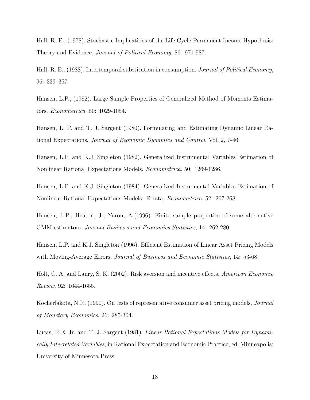Hall, R. E., (1978). Stochastic Implications of the Life Cycle-Permanent Income Hypothesis: Theory and Evidence, *Journal of Political Economy*, 86: 971-987.

Hall, R. E., (1988). Intertemporal substitution in consumption. *Journal of Political Economy*, 96: 339–357.

Hansen, L.P., (1982). Large Sample Properties of Generalized Method of Moments Estimators. *Econometrica*, 50: 1029-1054.

Hansen, L. P. and T. J. Sargent (1980). Formulating and Estimating Dynamic Linear Rational Expectations, *Journal of Economic Dynamics and Control*, Vol. 2, 7-46.

Hansen, L.P. and K.J. Singleton (1982). Generalized Instrumental Variables Estimation of Nonlinear Rational Expectations Models, *Econometrica*. 50: 1269-1286.

Hansen, L.P. and K.J. Singleton (1984). Generalized Instrumental Variables Estimation of Nonlinear Rational Expectations Models: Errata, *Econometrica*. 52: 267-268.

Hansen, L.P., Heaton, J., Yaron, A.(1996). Finite sample properties of some alternative GMM estimators. *Journal Business and Economics Statistics*, 14: 262-280.

Hansen, L.P. and K.J. Singleton (1996). Efficient Estimation of Linear Asset Pricing Models with Moving-Average Errors, *Journal of Business and Economic Statistics*, 14: 53-68.

Holt, C. A. and Laury, S. K. (2002). Risk aversion and incentive effects, *American Economic Review*, 92: 1644-1655.

Kocherlakota, N.R. (1990). On tests of representative consumer asset pricing models, *Journal of Monetary Economics*, 26: 285-304.

Lucas, R.E. Jr. and T. J. Sargent (1981). *Linear Rational Expectations Models for Dynamically Interrelated Variables*, in Rational Expectation and Economic Practice, ed. Minneapolis: University of Minnesota Press.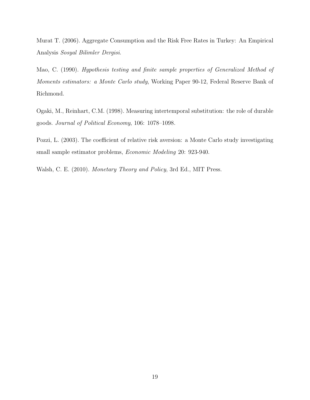Murat T. (2006). Aggregate Consumption and the Risk Free Rates in Turkey: An Empirical Analysis *Sosyal Bilimler Dergisi*.

Mao, C. (1990). *Hypothesis testing and finite sample properties of Generalized Method of Moments estimators: a Monte Carlo study*, Working Paper 90-12, Federal Reserve Bank of Richmond.

Ogaki, M., Reinhart, C.M. (1998). Measuring intertemporal substitution: the role of durable goods. *Journal of Political Economy*, 106: 1078–1098.

Pozzi, L. (2003). The coefficient of relative risk aversion: a Monte Carlo study investigating small sample estimator problems, *Economic Modeling* 20: 923-940.

Walsh, C. E. (2010). *Monetary Theory and Policy*, 3rd Ed., MIT Press.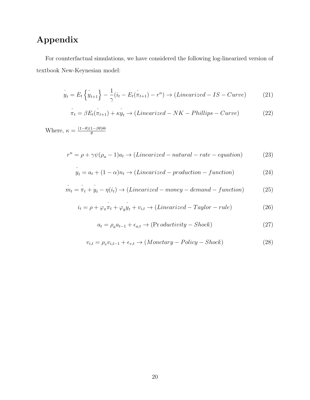# Appendix

For counterfactual simulations, we have considered the following log-linearized version of textbook New-Keynesian model:

$$
\tilde{y}_t = E_t \left\{ \tilde{y}_{t+1} \right\} - \frac{1}{\gamma} (i_t - E_t(\tilde{\pi}_{t+1}) - r^n) \to (Linearized - IS - Curve)
$$
\n(21)

$$
\tilde{\pi}_t = \beta E_t(\tilde{\pi}_{t+1}) + \tilde{xy}_t \rightarrow (Linearized - NK - Phillips - Curve)
$$
\n(22)

Where,  $\kappa = \frac{(1-\theta)(1-\beta\theta)\Theta}{\theta}$ θ

$$
r^{n} = \rho + \gamma \psi(\rho_{a} - 1)a_{t} \rightarrow (Linearized - natural - rate - equation)
$$
 (23)

$$
\tilde{y}_t = a_t + (1 - \alpha)n_t \to (Linearized - production - function)
$$
\n(24)

$$
m_t = \tilde{\pi}_t + \tilde{y}_t - \eta(i_t) \rightarrow (Linearized - money - demand - function)
$$
 (25)

$$
i_t = \rho + \varphi_\pi \tilde{n}_t + \varphi_y \tilde{y}_t + v_{i,t} \to (Linearized - Taylor - rule)
$$
\n(26)

$$
a_t = \rho_a a_{t-1} + \epsilon_{a,t} \rightarrow (\text{Pr} \, \text{oductivity} - \text{Shock}) \tag{27}
$$

$$
v_{i,t} = \rho_v v_{i,t-1} + \epsilon_{v,t} \rightarrow (Monetary - Policy - Shock)
$$
\n(28)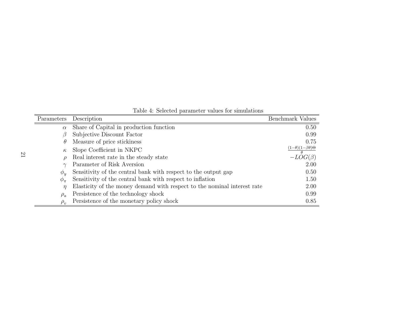|  |  | Table 4: Selected parameter values for simulations |
|--|--|----------------------------------------------------|
|  |  |                                                    |

| Parameters      | Description                                                              | Benchmark Values                  |
|-----------------|--------------------------------------------------------------------------|-----------------------------------|
| $\alpha$        | Share of Capital in production function                                  | 0.50                              |
|                 | Subjective Discount Factor                                               | 0.99                              |
| $\theta$        | Measure of price stickiness                                              | 0.75                              |
| $\kappa$        | Slope Coefficient in NKPC                                                | $(1-\theta)(1-\beta\theta)\Theta$ |
|                 | Real interest rate in the steady state                                   | $-LOG(\beta)$                     |
| $\gamma$        | Parameter of Risk Aversion                                               | 2.00                              |
| $\phi_y$        | Sensitivity of the central bank with respect to the output gap           | 0.50                              |
| $\varphi_{\pi}$ | Sensitivity of the central bank with respect to inflation                | 1.50                              |
| $\eta$          | Elasticity of the money demand with respect to the nominal interest rate | 2.00                              |
| $\rho_a$        | Persistence of the technology shock                                      | 0.99                              |
| $\rho_{v}$      | Persistence of the monetary policy shock                                 | 0.85                              |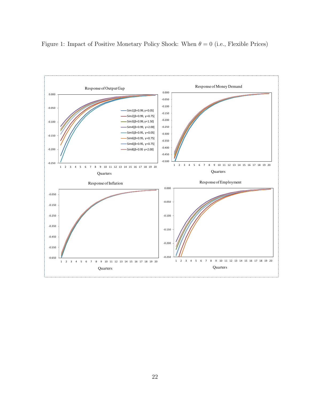

Figure 1: Impact of Positive Monetary Policy Shock: When  $\theta = 0$  (i.e., Flexible Prices)